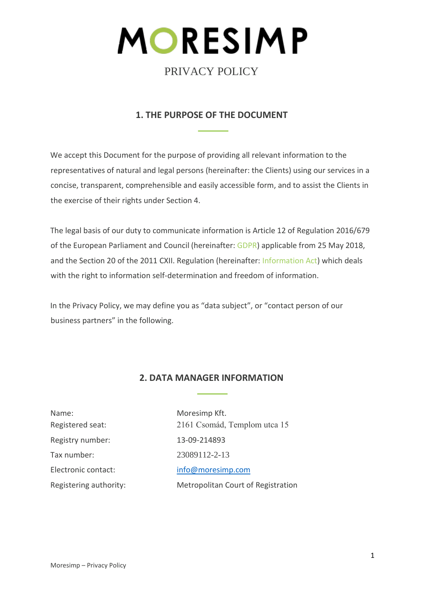

# **1. THE PURPOSE OF THE DOCUMENT**

We accept this Document for the purpose of providing all relevant information to the representatives of natural and legal persons (hereinafter: the Clients) using our services in a concise, transparent, comprehensible and easily accessible form, and to assist the Clients in the exercise of their rights under Section 4.

The legal basis of our duty to communicate information is Article 12 of Regulation 2016/679 of the European Parliament and Council (hereinafter: [GDPR\)](https://eur-lex.europa.eu/legal-content/HU/TXT/?uri=celex%3A32016R0679) applicable from 25 May 2018, and the Section 20 of the 2011 CXII. Regulation (hereinafter: [Information Act\)](https://net.jogtar.hu/jogszabaly?docid=A1100112.TV) which deals with the right to information self-determination and freedom of information.

In the Privacy Policy, we may define you as "data subject", or "contact person of our business partners" in the following.

# **2. DATA MANAGER INFORMATION**

1

Name: Moresimp Kft. Registered seat: 2161 Csomád, Templom utca 15 Registry number: 13-09-214893 Tax number: 23089112-2-13 Electronic contact: info@moresimp.com Registering authority: Metropolitan Court of Registration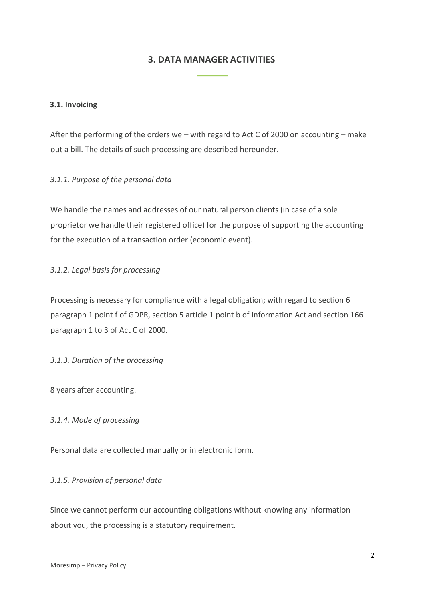## **3. DATA MANAGER ACTIVITIES**

### **3.1. Invoicing**

After the performing of the orders we – with regard to Act C of 2000 on accounting – make out a bill. The details of such processing are described hereunder.

### *3.1.1. Purpose of the personal data*

We handle the names and addresses of our natural person clients (in case of a sole proprietor we handle their registered office) for the purpose of supporting the accounting for the execution of a transaction order (economic event).

### *3.1.2. Legal basis for processing*

Processing is necessary for compliance with a legal obligation; with regard to section 6 paragraph 1 point f of GDPR, section 5 article 1 point b of Information Act and section 166 paragraph 1 to 3 of Act C of 2000.

#### *3.1.3. Duration of the processing*

8 years after accounting.

#### *3.1.4. Mode of processing*

Personal data are collected manually or in electronic form.

#### *3.1.5. Provision of personal data*

Since we cannot perform our accounting obligations without knowing any information about you, the processing is a statutory requirement.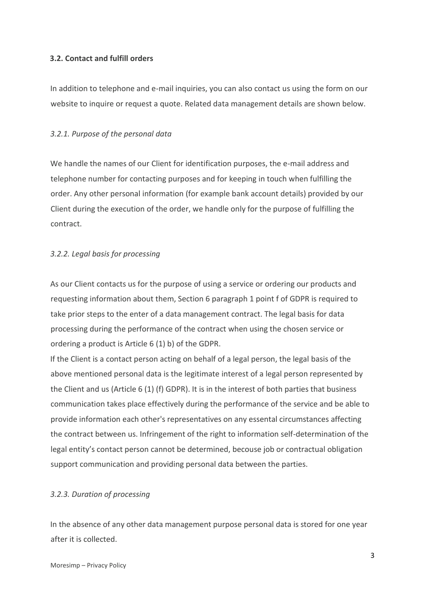### **3.2. Contact and fulfill orders**

In addition to telephone and e-mail inquiries, you can also contact us using the form on our website to inquire or request a quote. Related data management details are shown below.

### *3.2.1. Purpose of the personal data*

We handle the names of our Client for identification purposes, the e-mail address and telephone number for contacting purposes and for keeping in touch when fulfilling the order. Any other personal information (for example bank account details) provided by our Client during the execution of the order, we handle only for the purpose of fulfilling the contract.

### *3.2.2. Legal basis for processing*

As our Client contacts us for the purpose of using a service or ordering our products and requesting information about them, Section 6 paragraph 1 point f of GDPR is required to take prior steps to the enter of a data management contract. The legal basis for data processing during the performance of the contract when using the chosen service or ordering a product is Article 6 (1) b) of the GDPR.

If the Client is a contact person acting on behalf of a legal person, the legal basis of the above mentioned personal data is the legitimate interest of a legal person represented by the Client and us (Article 6 (1) (f) GDPR). It is in the interest of both parties that business communication takes place effectively during the performance of the service and be able to provide information each other's representatives on any essental circumstances affecting the contract between us. Infringement of the right to information self-determination of the legal entity's contact person cannot be determined, becouse job or contractual obligation support communication and providing personal data between the parties.

#### *3.2.3. Duration of processing*

In the absence of any other data management purpose personal data is stored for one year after it is collected.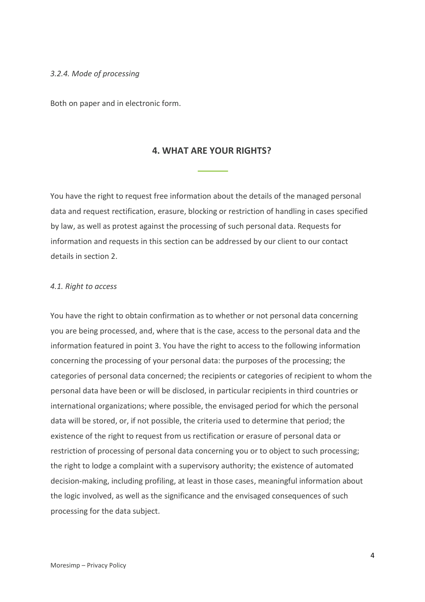#### *3.2.4. Mode of processing*

Both on paper and in electronic form.

## **4. WHAT ARE YOUR RIGHTS?**

You have the right to request free information about the details of the managed personal data and request rectification, erasure, blocking or restriction of handling in cases specified by law, as well as protest against the processing of such personal data. Requests for information and requests in this section can be addressed by our client to our contact details in section 2.

#### *4.1. Right to access*

You have the right to obtain confirmation as to whether or not personal data concerning you are being processed, and, where that is the case, access to the personal data and the information featured in point 3. You have the right to access to the following information concerning the processing of your personal data: the purposes of the processing; the categories of personal data concerned; the recipients or categories of recipient to whom the personal data have been or will be disclosed, in particular recipients in third countries or international organizations; where possible, the envisaged period for which the personal data will be stored, or, if not possible, the criteria used to determine that period; the existence of the right to request from us rectification or erasure of personal data or restriction of processing of personal data concerning you or to object to such processing; the right to lodge a complaint with a supervisory authority; the existence of automated decision-making, including profiling, at least in those cases, meaningful information about the logic involved, as well as the significance and the envisaged consequences of such processing for the data subject.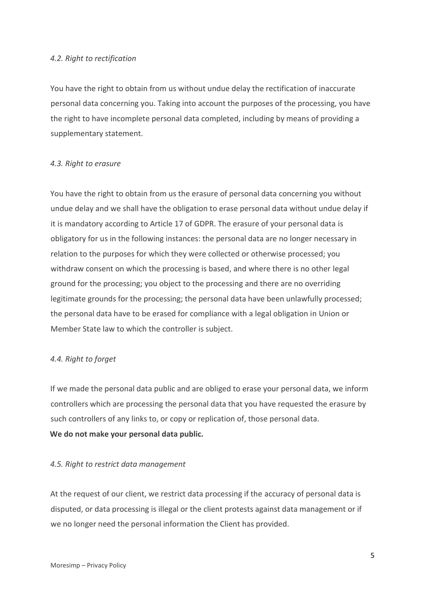#### *4.2. Right to rectification*

You have the right to obtain from us without undue delay the rectification of inaccurate personal data concerning you. Taking into account the purposes of the processing, you have the right to have incomplete personal data completed, including by means of providing a supplementary statement.

#### *4.3. Right to erasure*

You have the right to obtain from us the erasure of personal data concerning you without undue delay and we shall have the obligation to erase personal data without undue delay if it is mandatory according to Article 17 of GDPR. The erasure of your personal data is obligatory for us in the following instances: the personal data are no longer necessary in relation to the purposes for which they were collected or otherwise processed; you withdraw consent on which the processing is based, and where there is no other legal ground for the processing; you object to the processing and there are no overriding legitimate grounds for the processing; the personal data have been unlawfully processed; the personal data have to be erased for compliance with a legal obligation in Union or Member State law to which the controller is subject.

#### *4.4. Right to forget*

If we made the personal data public and are obliged to erase your personal data, we inform controllers which are processing the personal data that you have requested the erasure by such controllers of any links to, or copy or replication of, those personal data. **We do not make your personal data public.**

#### *4.5. Right to restrict data management*

At the request of our client, we restrict data processing if the accuracy of personal data is disputed, or data processing is illegal or the client protests against data management or if we no longer need the personal information the Client has provided.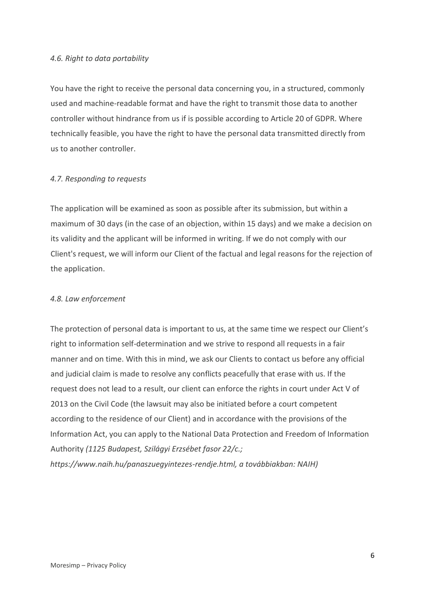#### *4.6. Right to data portability*

You have the right to receive the personal data concerning you, in a structured, commonly used and machine-readable format and have the right to transmit those data to another controller without hindrance from us if is possible according to Article 20 of GDPR. Where technically feasible, you have the right to have the personal data transmitted directly from us to another controller.

#### *4.7. Responding to requests*

The application will be examined as soon as possible after its submission, but within a maximum of 30 days (in the case of an objection, within 15 days) and we make a decision on its validity and the applicant will be informed in writing. If we do not comply with our Client's request, we will inform our Client of the factual and legal reasons for the rejection of the application.

#### *4.8. Law enforcement*

The protection of personal data is important to us, at the same time we respect our Client's right to information self-determination and we strive to respond all requests in a fair manner and on time. With this in mind, we ask our Clients to contact us before any official and judicial claim is made to resolve any conflicts peacefully that erase with us. If the request does not lead to a result, our client can enforce the rights in court under Act V of 2013 on the Civil Code (the lawsuit may also be initiated before a court competent according to the residence of our Client) and in accordance with the provisions of the Information Act, you can apply to the National Data Protection and Freedom of Information Authority *(1125 Budapest, Szilágyi Erzsébet fasor 22/c.; https://www.naih.hu/panaszuegyintezes-rendje.html, a továbbiakban: NAIH)*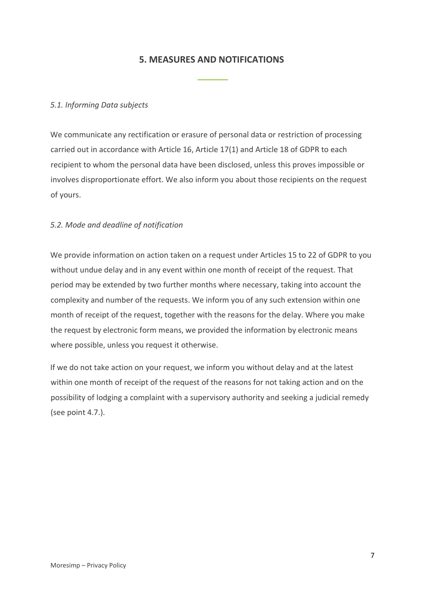## **5. MEASURES AND NOTIFICATIONS**

## *5.1. Informing Data subjects*

We communicate any rectification or erasure of personal data or restriction of processing carried out in accordance with Article 16, Article 17(1) and Article 18 of GDPR to each recipient to whom the personal data have been disclosed, unless this proves impossible or involves disproportionate effort. We also inform you about those recipients on the request of yours.

### *5.2. Mode and deadline of notification*

We provide information on action taken on a request under Articles 15 to 22 of GDPR to you without undue delay and in any event within one month of receipt of the request. That period may be extended by two further months where necessary, taking into account the complexity and number of the requests. We inform you of any such extension within one month of receipt of the request, together with the reasons for the delay. Where you make the request by electronic form means, we provided the information by electronic means where possible, unless you request it otherwise.

If we do not take action on your request, we inform you without delay and at the latest within one month of receipt of the request of the reasons for not taking action and on the possibility of lodging a complaint with a supervisory authority and seeking a judicial remedy (see point 4.7.).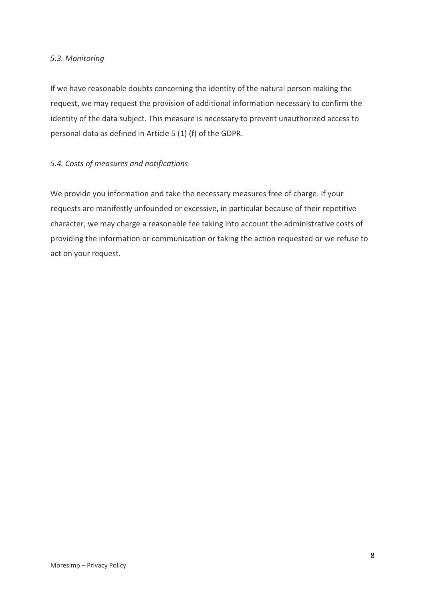#### *5.3. Monitoring*

If we have reasonable doubts concerning the identity of the natural person making the request, we may request the provision of additional information necessary to confirm the identity of the data subject. This measure is necessary to prevent unauthorized access to personal data as defined in Article 5 (1) (f) of the GDPR.

## *5.4. Costs of measures and notifications*

We provide you information and take the necessary measures free of charge. If your requests are manifestly unfounded or excessive, in particular because of their repetitive character, we may charge a reasonable fee taking into account the administrative costs of providing the information or communication or taking the action requested or we refuse to act on your request.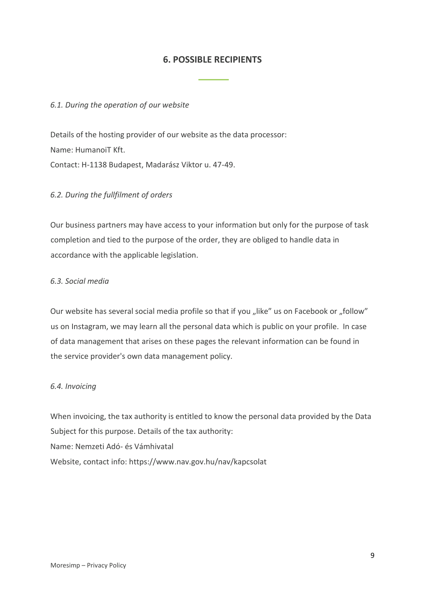## **6. POSSIBLE RECIPIENTS**

#### *6.1. During the operation of our website*

Details of the hosting provider of our website as the data processor: Name: HumanoiT Kft. Contact: H-1138 Budapest, Madarász Viktor u. 47-49.

#### *6.2. During the fullfilment of orders*

Our business partners may have access to your information but only for the purpose of task completion and tied to the purpose of the order, they are obliged to handle data in accordance with the applicable legislation.

#### *6.3. Social media*

Our website has several social media profile so that if you "like" us on Facebook or "follow" us on Instagram, we may learn all the personal data which is public on your profile. In case of data management that arises on these pages the relevant information can be found in the service provider's own data management policy.

#### *6.4. Invoicing*

When invoicing, the tax authority is entitled to know the personal data provided by the Data Subject for this purpose. Details of the tax authority: Name: Nemzeti Adó- és Vámhivatal Website, contact info:<https://www.nav.gov.hu/nav/kapcsolat>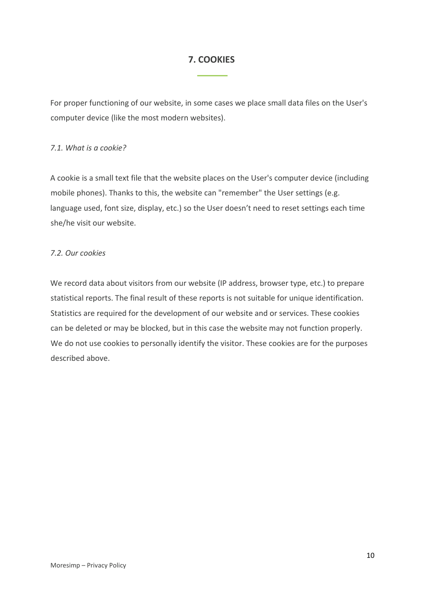## **7. COOKIES**

For proper functioning of our website, in some cases we place small data files on the User's computer device (like the most modern websites).

#### *7.1. What is a cookie?*

A cookie is a small text file that the website places on the User's computer device (including mobile phones). Thanks to this, the website can "remember" the User settings (e.g. language used, font size, display, etc.) so the User doesn't need to reset settings each time she/he visit our website.

## *7.2. Our cookies*

We record data about visitors from our website (IP address, browser type, etc.) to prepare statistical reports. The final result of these reports is not suitable for unique identification. Statistics are required for the development of our website and or services. These cookies can be deleted or may be blocked, but in this case the website may not function properly. We do not use cookies to personally identify the visitor. These cookies are for the purposes described above.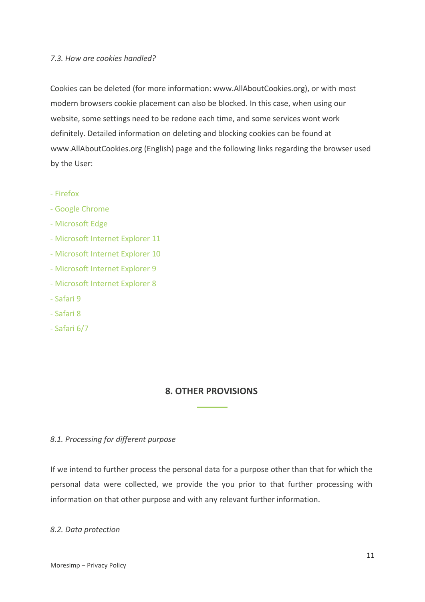#### *7.3. How are cookies handled?*

Cookies can be deleted (for more information: www.AllAboutCookies.org), or with most modern browsers cookie placement can also be blocked. In this case, when using our website, some settings need to be redone each time, and some services wont work definitely. Detailed information on deleting and blocking cookies can be found at [www.AllAboutCookies.org](http://www.allaboutcookies.org/) (English) page and the following links regarding the browser used by the User:

- [Firefox](https://support.mozilla.org/en-US/kb/clear-cookies-and-site-data-firefox)
- [Google Chrome](https://support.google.com/chrome/answer/95647)
- [Microsoft Edge](https://support.microsoft.com/en-us/microsoft-edge/delete-cookies-in-microsoft-edge-63947406-40ac-c3b8-57b9-2a946a29ae09)
- [Microsoft Internet Explorer 11](https://support.microsoft.com/en-us/topic/delete-and-manage-cookies-168dab11-0753-043d-7c16-ede5947fc64d)
- [Microsoft Internet Explorer 10](https://support.microsoft.com/en-us/topic/delete-and-manage-cookies-168dab11-0753-043d-7c16-ede5947fc64d)
- [Microsoft Internet Explorer 9](https://support.microsoft.com/en-us/topic/delete-and-manage-cookies-168dab11-0753-043d-7c16-ede5947fc64d)
- [Microsoft Internet Explorer 8](https://support.microsoft.com/en-us/topic/delete-and-manage-cookies-168dab11-0753-043d-7c16-ede5947fc64d)
- [Safari 9](https://support.apple.com/hu-hu/guide/safari/sfri11471/mac)
- [Safari 8](https://support.apple.com/hu-hu/guide/safari/sfri11471/mac)
- [Safari 6/7](https://support.apple.com/hu-hu/guide/safari/sfri11471/mac)

## **8. OTHER PROVISIONS**

#### *8.1. Processing for different purpose*

If we intend to further process the personal data for a purpose other than that for which the personal data were collected, we provide the you prior to that further processing with information on that other purpose and with any relevant further information.

#### *8.2. Data protection*